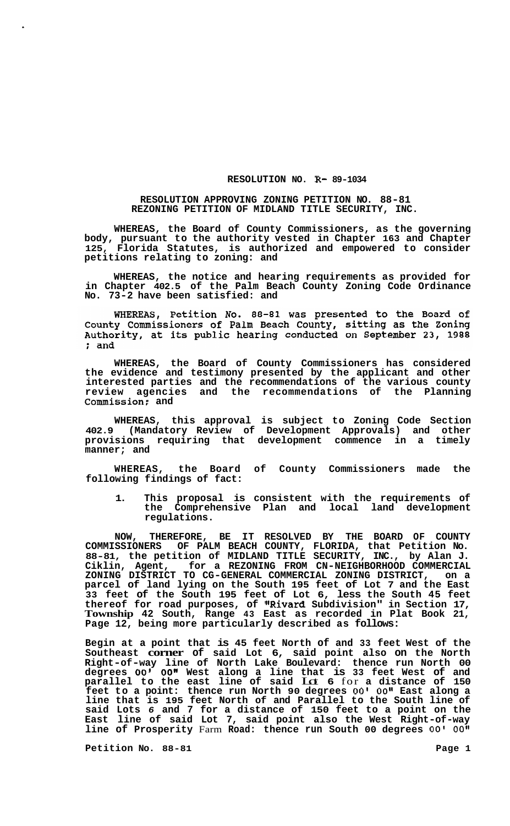## **RESOLUTION NO. R- 89-1034**

## **RESOLUTION APPROVING ZONING PETITION NO. 88-81 REZONING PETITION OF MIDLAND TITLE SECURITY, INC.**

**WHEREAS, the Board of County Commissioners, as the governing body, pursuant to the authority vested in Chapter 163 and Chapter 125, Florida Statutes, is authorized and empowered to consider petitions relating to zoning: and** 

**WHEREAS, the notice and hearing requirements as provided for in Chapter 402.5 of the Palm Beach County Zoning Code Ordinance No. 73-2 have been satisfied: and** 

WHEREAS, Petition No. 88-81 was presented to the Board of<br>County Commissioners of Palm Beach County, sitting as the Zoning<br>Authority, at its public hearing conducted on September 23, 1988 ; and

**WHEREAS, the Board of County Commissioners has considered the evidence and testimony presented by the applicant and other interested parties and the recommendations of the various county review agencies and the recommendations of the Planning Commission; and** 

**WHEREAS, this approval is subject to Zoning Code Section 402.9 (Mandatory Review of Development Approvals) and other provisions requiring that development commence in a timely manner; and** 

**WHEREAS, the Board of County Commissioners made the following findings of fact:** 

**1. This proposal is consistent with the requirements of the Comprehensive Plan and local land development regulations.** 

**NOW, THEREFORE, BE IT RESOLVED BY THE BOARD OF COUNTY COMMISSIONERS OF PALM BEACH COUNTY, FLORIDA, that Petition No. 88-81, the petition of MIDLAND TITLE SECURITY, INC., by Alan J. Ciklin, Agent, for a REZONING FROM CN-NEIGHBORHOOD COMMERCIAL ZONING DISTRICT TO CG-GENERAL COMMERCIAL ZONING DISTRICT, on a parcel of land lying on the South 195 feet of Lot 7 and the East 33 feet of the South 195 feet of Lot 6, less the South 45 feet thereof for road purposes, of "Rivard Subdivision" in Section 17, Township 42 South, Range 43 East as recorded in Plat Book 21, Page 12, being more particularly described as follows:** 

**Begin at a point that is 45 feet North of and 33 feet West of the Southeast corner of said Lot 6, said point also on the North Right-of-way line of North Lake Boulevard: thence run North 00 degrees** *00' 00"* **West along a line that is 33 feet West of and parallel to the east line of said** Lot **6** for **a distance of 150 feet to a point: thence run North 90 degrees** *00'* **OOI' East along a line that is 195 feet North of and Parallel to the South line of said Lots** *6* **and 7 for a distance of 150 feet to a point on the East line of said Lot 7, said point also the West Right-of-way**  line of Prosperity Farm Road: thence run South 00 degrees 00' 00"

**Petition No.** 88-81 **Page 1 Page 1**